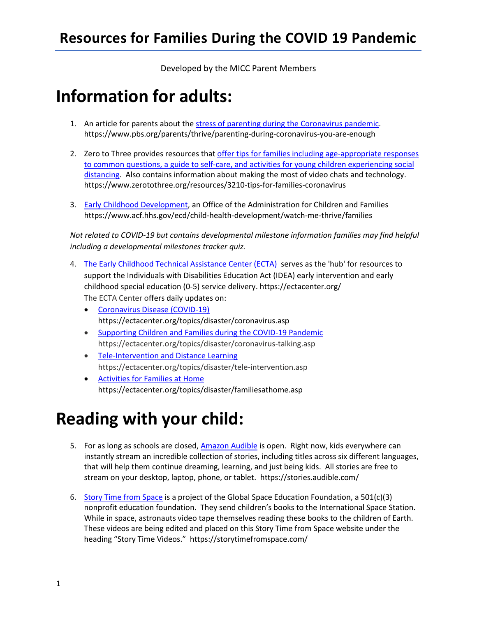Developed by the MICC Parent Members

## **Information for adults:**

- 1. An article for parents about the [stress of parenting during the Coronavirus pandemic.](https://www.pbs.org/parents/thrive/parenting-during-coronavirus-you-are-enough) https://www.pbs.org/parents/thrive/parenting-during-coronavirus-you-are-enough
- [distancing.](https://www.zerotothree.org/resources/3210-tips-for-families-coronavirus) Also contains information about making the most of video chats and technology. 2. Zero to Three provides resources that offer tips for families including age-appropriate responses [to common questions, a guide to self-care, and activities for young children experiencing social](https://www.zerotothree.org/resources/3210-tips-for-families-coronavirus)  https://www.zerotothree.org/resources/3210-tips-for-families-coronavirus
- 3. [Early Childhood Development,](https://www.acf.hhs.gov/ecd/child-health-development/watch-me-thrive/families) an Office of the Administration for Children and Families https://www.acf.hhs.gov/ecd/child-health-development/watch-me-thrive/families

 *Not related to COVID-19 but contains developmental milestone information families may find helpful including a developmental milestones tracker quiz.* 

- 4. [The Early Childhood Technical Assistance Center \(ECTA\)](https://ectacenter.org/) serves as the 'hub' for resources to support the Individuals with Disabilities Education Act (IDEA) early intervention and early childhood special education (0-5) service delivery. https://ectacenter.org/ The ECTA Center offers daily updates on:
	- Coronavirus Disease (COVID-19) https://ectacenter.org/topics/disaster/coronavirus.asp
	- Supporting Children and Families during the COVID-19 Pandemic https://ectacenter.org/topics/disaster/coronavirus-talking.asp
	- Tele-Intervention and Distance Learning https://ectacenter.org/topics/disaster/tele-intervention.asp
	- Activities for Families at Home https://ectacenter.org/topics/disaster/familiesathome.asp

## **Reading with your child:**

- 5. For as long as schools are closed[, Amazon Audible](https://stories.audible.com/) is open. Right now, kids everywhere can instantly stream an incredible collection of stories, including titles across six different languages, that will help them continue dreaming, learning, and just being kids. All stories are free to stream on your desktop, laptop, phone, or tablet. https://stories.audible.com/
- [nonprofit education foundation.](https://storytimefromspace.com/wp-content/uploads/2014/11/GSEF-.jpeg) They send children's books to the International Space Station. While in space, astronauts video tape themselves reading these books to the children of Earth. heading "Story Time Videos." https://storytimefromspace.com/ 6. [Story Time from Space](https://storytimefromspace.com/) is a project of the Global Space Education Foundation, a 501(c)(3) These videos are being edited and placed on this Story Time from Space website under the